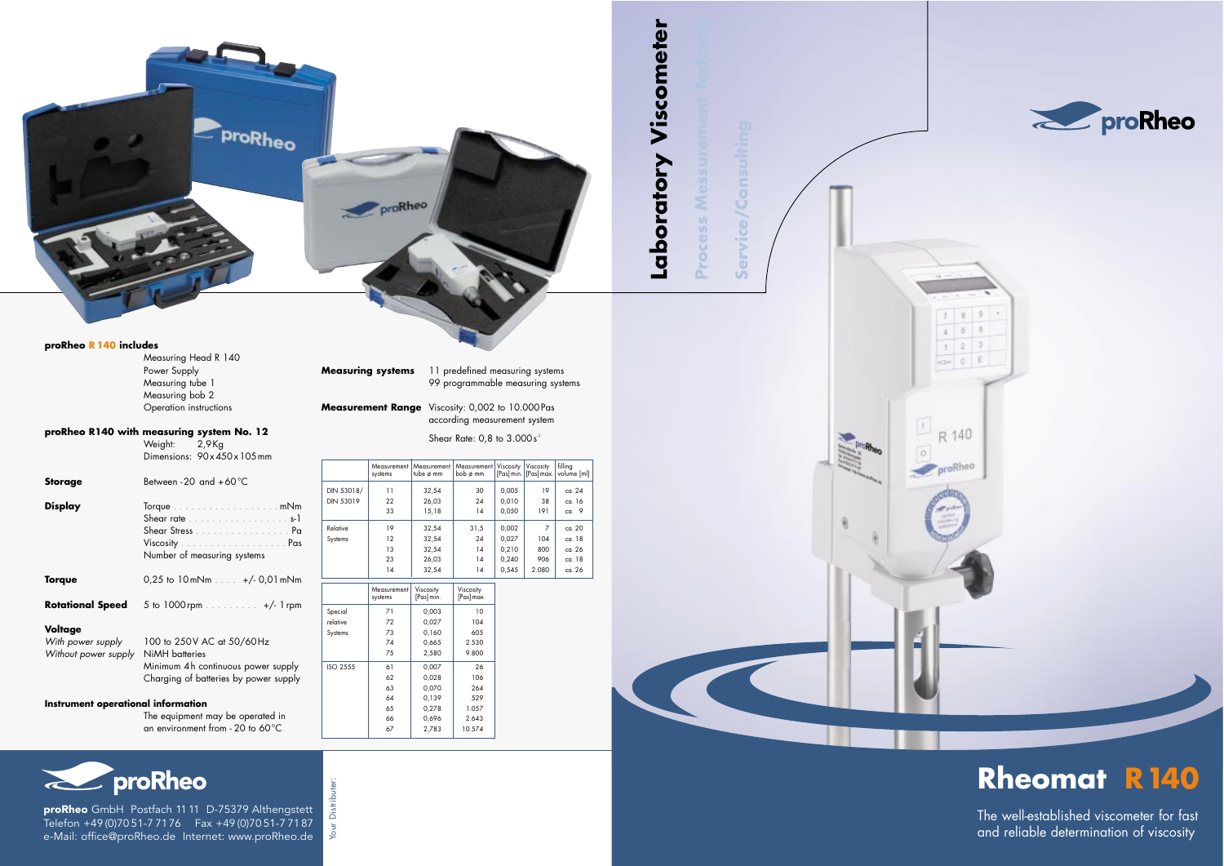proRheo GmbH Postfach 11 11 D-75379 Althengstett Telefon +49 (0)70 51-7 7176 Fax +49 (0)70 51-7 7187 e-Mail: office@proRheo.de Internet: www.proRheo.de

Your Distributer:

Distri Your

#### **proRheo R 140 includes**

Measuring Head R 140 Power Supply Measuring tube 1 Measuring bob 2 Operation instructions

### **proRheo R140 with measuring system No. 12**

Weight: 2,9Kg Dimensions: 90x450x105mm

| <b>Storage</b>                                       | Between -20 and $+60^{\circ}$ C                                                                                            |
|------------------------------------------------------|----------------------------------------------------------------------------------------------------------------------------|
| <b>Display</b>                                       | Torque mNm<br>Shear rate s-1<br>Shear Stress Pa<br>Number of measuring systems                                             |
| <b>Torque</b>                                        | $0.25$ to $10$ mNm $\ldots +/-0.01$ mNm                                                                                    |
| <b>Rotational Speed</b>                              | 5 to 1000 rpm +/- 1 rpm                                                                                                    |
| Voltage<br>With power supply<br>Without power supply | 100 to 250V AC at 50/60Hz<br>NiMH batteries<br>Minimum 4h continuous power supply<br>Charging of batteries by power supply |
| Instrument operational information                   |                                                                                                                            |
|                                                      | The equipment may be operated in                                                                                           |

an environment from - 20 to 60 ° C

# **El proRheo**

**Measuring systems** 11 predefined measuring systems 99 programmable measuring systems

**Measurement Range** Viscosity: 0,002 to 10.000Pas according measurement system

#### Shear Rate: 0,8 to 3.000 s<sup>1</sup>

|                         | Measurement<br>systems | Measurement<br>tube $\phi$ mm | Measurement  <br>bob ø mm | Viscosity      | Viscosity<br>[Pas] min.   [Pas] max. | filling<br>volume [ml] |
|-------------------------|------------------------|-------------------------------|---------------------------|----------------|--------------------------------------|------------------------|
| DIN 53018/<br>DIN 53019 | 11<br>22               | 32,54<br>26,03                | 30<br>24                  | 0,005<br>0,010 | 19<br>38                             | ca. 24<br>ca. 16       |
|                         | 33                     | 15,18                         | 14                        | 0,050          | 191                                  | ca. $9$                |
| Relative                | 19                     | 32,54                         | 31,5                      | 0,002          | 7                                    | ca. 20                 |
| Systems                 | 12                     | 32,54                         | 24                        | 0,027          | 104                                  | ca. 18                 |
|                         | 13                     | 32,54                         | 14                        | 0,210          | 800                                  | ca. 26                 |
|                         | 23                     | 26,03                         | 14                        | 0,240          | 906                                  | ca. 18                 |
|                         | 14                     | 32,54                         | 14                        | 0,545          | 2.080                                | ca. 26                 |

|                 | Measurement<br>systems | Viscosity<br>[Pas] min. | Viscosity<br>[Pas] max. |
|-----------------|------------------------|-------------------------|-------------------------|
| Special         | 71                     | 0,003                   | 10                      |
| relative        | 72                     | 0,027                   | 104                     |
| Systems         | 73                     | 0,160                   | 605                     |
|                 | 74                     | 0,665                   | 2.530                   |
|                 | 75                     | 2,580                   | 9.800                   |
| <b>ISO 2555</b> | 61                     | 0,007                   | 26                      |
|                 | 62                     | 0,028                   | 106                     |
|                 | 63                     | 0,070                   | 264                     |
|                 | 64                     | 0,139                   | 529                     |
|                 | 65                     | 0,278                   | 1.057                   |
|                 | 66                     | 0,696                   | 2.643                   |
|                 | 67                     | 2,783                   | 10.574                  |

## **Rheomat R140**

The well-established viscometer for fast and reliable determination of viscosity



**Process Messurement Technoly**

**COLLEGE** 

**Service/Consulting**